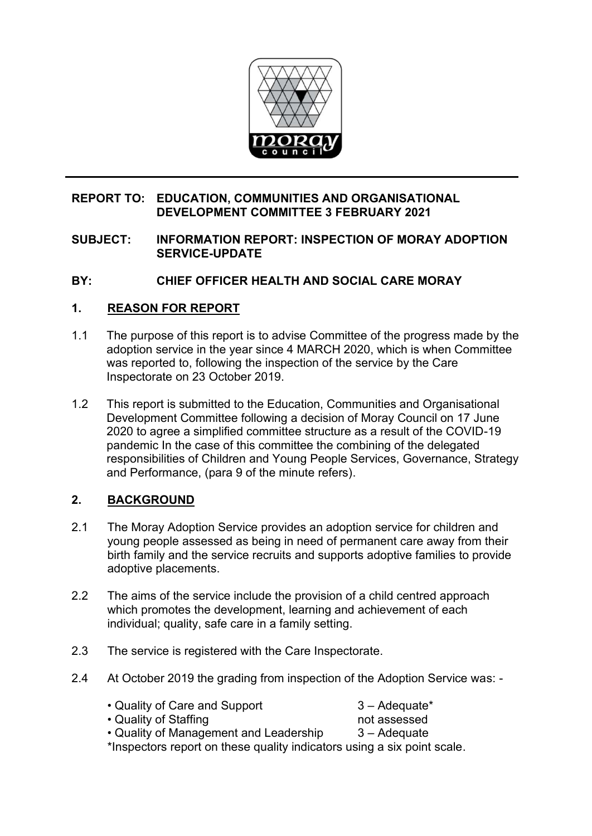

# **REPORT TO: EDUCATION, COMMUNITIES AND ORGANISATIONAL DEVELOPMENT COMMITTEE 3 FEBRUARY 2021**

## **SUBJECT: INFORMATION REPORT: INSPECTION OF MORAY ADOPTION SERVICE-UPDATE**

# **BY: CHIEF OFFICER HEALTH AND SOCIAL CARE MORAY**

# **1. REASON FOR REPORT**

- 1.1 The purpose of this report is to advise Committee of the progress made by the adoption service in the year since 4 MARCH 2020, which is when Committee was reported to, following the inspection of the service by the Care Inspectorate on 23 October 2019.
- 1.2 This report is submitted to the Education, Communities and Organisational Development Committee following a decision of Moray Council on 17 June 2020 to agree a simplified committee structure as a result of the COVID-19 pandemic In the case of this committee the combining of the delegated responsibilities of Children and Young People Services, Governance, Strategy and Performance, (para 9 of the minute refers).

# **2. BACKGROUND**

- 2.1 The Moray Adoption Service provides an adoption service for children and young people assessed as being in need of permanent care away from their birth family and the service recruits and supports adoptive families to provide adoptive placements.
- 2.2 The aims of the service include the provision of a child centred approach which promotes the development, learning and achievement of each individual; quality, safe care in a family setting.
- 2.3 The service is registered with the Care Inspectorate.
- 2.4 At October 2019 the grading from inspection of the Adoption Service was:
	- Quality of Care and Support 3 Adequate\*

• Quality of Staffing not assessed

• Quality of Management and Leadership  $3 -$  Adequate

\*Inspectors report on these quality indicators using a six point scale.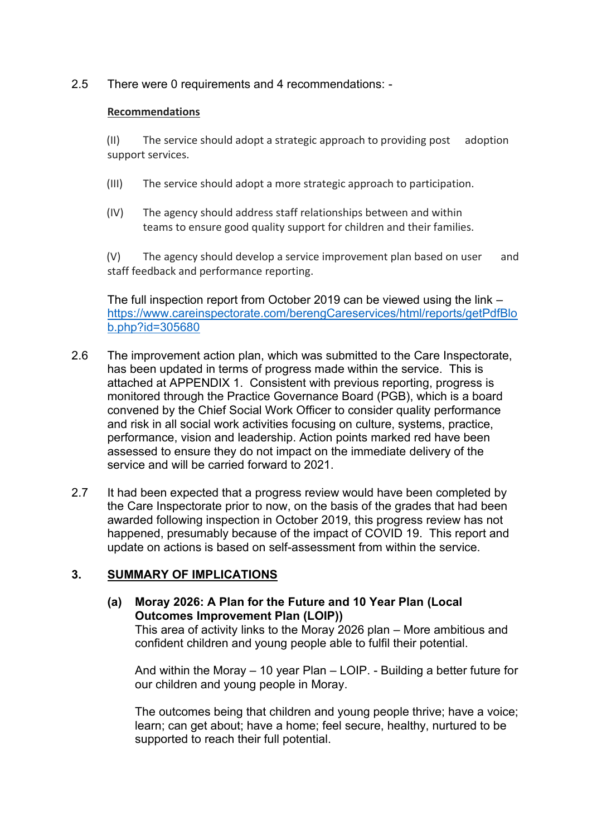2.5 There were 0 requirements and 4 recommendations: -

### **Recommendations**

(II) The service should adopt a strategic approach to providing post adoption support services.

- (III) The service should adopt a more strategic approach to participation.
- (IV) The agency should address staff relationships between and within teams to ensure good quality support for children and their families.

(V) The agency should develop a service improvement plan based on user and staff feedback and performance reporting.

The full inspection report from October 2019 can be viewed using the link – [https://www.careinspectorate.com/berengCareservices/html/reports/getPdfBlo](https://www.careinspectorate.com/berengCareservices/html/reports/getPdfBlob.php?id=305680) [b.php?id=305680](https://www.careinspectorate.com/berengCareservices/html/reports/getPdfBlob.php?id=305680) 

- 2.6 The improvement action plan, which was submitted to the Care Inspectorate, has been updated in terms of progress made within the service. This is attached at APPENDIX 1. Consistent with previous reporting, progress is monitored through the Practice Governance Board (PGB), which is a board convened by the Chief Social Work Officer to consider quality performance and risk in all social work activities focusing on culture, systems, practice, performance, vision and leadership. Action points marked red have been assessed to ensure they do not impact on the immediate delivery of the service and will be carried forward to 2021.
- 2.7 It had been expected that a progress review would have been completed by the Care Inspectorate prior to now, on the basis of the grades that had been awarded following inspection in October 2019, this progress review has not happened, presumably because of the impact of COVID 19. This report and update on actions is based on self-assessment from within the service.

## **3. SUMMARY OF IMPLICATIONS**

**(a) Moray 2026: A Plan for the Future and 10 Year Plan (Local Outcomes Improvement Plan (LOIP))** 

This area of activity links to the Moray 2026 plan – More ambitious and confident children and young people able to fulfil their potential.

And within the Moray – 10 year Plan – LOIP. - Building a better future for our children and young people in Moray.

The outcomes being that children and young people thrive; have a voice; learn; can get about; have a home; feel secure, healthy, nurtured to be supported to reach their full potential.